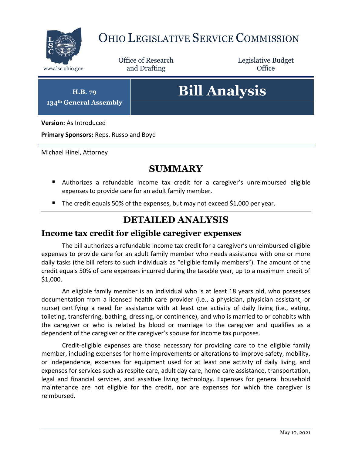

# OHIO LEGISLATIVE SERVICE COMMISSION

Office of Research www.lsc.ohio.gov **and Drafting Office** 

Legislative Budget

**H.B. 79 134th General Assembly**

# **Bill Analysis**

**Version:** As Introduced

**Primary Sponsors:** Reps. Russo and Boyd

Michael Hinel, Attorney

## **SUMMARY**

- Authorizes a refundable income tax credit for a caregiver's unreimbursed eligible expenses to provide care for an adult family member.
- The credit equals 50% of the expenses, but may not exceed \$1,000 per year.

### **DETAILED ANALYSIS**

#### **Income tax credit for eligible caregiver expenses**

The bill authorizes a refundable income tax credit for a caregiver's unreimbursed eligible expenses to provide care for an adult family member who needs assistance with one or more daily tasks (the bill refers to such individuals as "eligible family members"). The amount of the credit equals 50% of care expenses incurred during the taxable year, up to a maximum credit of \$1,000.

An eligible family member is an individual who is at least 18 years old, who possesses documentation from a licensed health care provider (i.e., a physician, physician assistant, or nurse) certifying a need for assistance with at least one activity of daily living (i.e., eating, toileting, transferring, bathing, dressing, or continence), and who is married to or cohabits with the caregiver or who is related by blood or marriage to the caregiver and qualifies as a dependent of the caregiver or the caregiver's spouse for income tax purposes.

Credit-eligible expenses are those necessary for providing care to the eligible family member, including expenses for home improvements or alterations to improve safety, mobility, or independence, expenses for equipment used for at least one activity of daily living, and expenses for services such as respite care, adult day care, home care assistance, transportation, legal and financial services, and assistive living technology. Expenses for general household maintenance are not eligible for the credit, nor are expenses for which the caregiver is reimbursed.